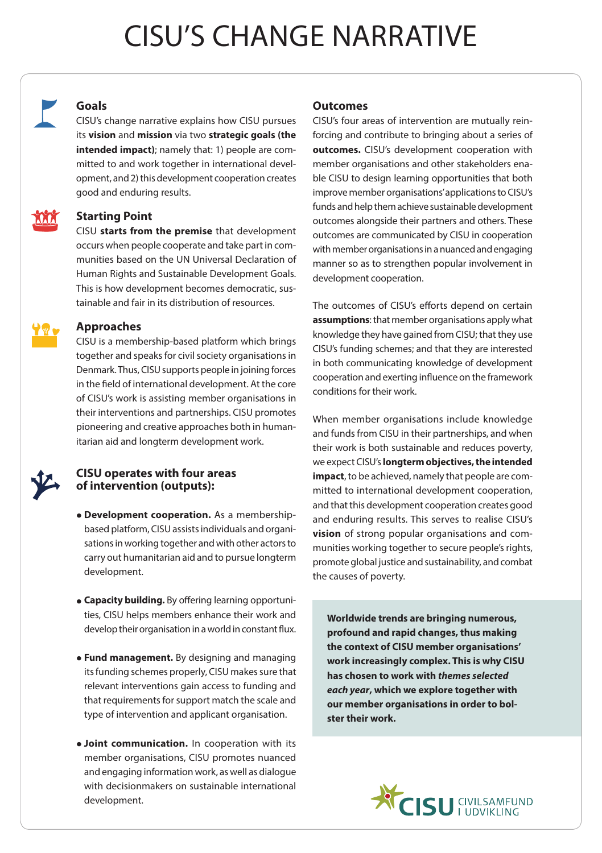## CISU'S CHANGE NARRATIVE



MAM

## **Goals**

CISU's change narrative explains how CISU pursues its **vision** and **mission** via two **strategic goals (the intended impact)**; namely that: 1) people are committed to and work together in international development, and 2) this development cooperation creates good and enduring results.

## **Starting Point**

CISU **starts from the premise** that development occurs when people cooperate and take part in communities based on the UN Universal Declaration of Human Rights and Sustainable Development Goals. This is how development becomes democratic, sustainable and fair in its distribution of resources.

#### **Approaches**

CISU is a membership-based platform which brings together and speaks for civil society organisations in Denmark. Thus, CISU supports people in joining forces in the field of international development. At the core of CISU's work is assisting member organisations in their interventions and partnerships. CISU promotes pioneering and creative approaches both in humanitarian aid and longterm development work.

## **CISU operates with four areas of intervention (outputs):**

- **Development cooperation.** As a membershipbased platform, CISU assists individuals and organisations in working together and with other actors to carry out humanitarian aid and to pursue longterm development.
- **Capacity building.** By offering learning opportunities, CISU helps members enhance their work and develop their organisation in a world in constant flux.
- **Fund management.** By designing and managing its funding schemes properly, CISU makes sure that relevant interventions gain access to funding and that requirements for support match the scale and type of intervention and applicant organisation.
- **Joint communication.** In cooperation with its member organisations, CISU promotes nuanced and engaging information work, as well as dialogue with decisionmakers on sustainable international development.

### **Outcomes**

CISU's four areas of intervention are mutually reinforcing and contribute to bringing about a series of **outcomes.** CISU's development cooperation with member organisations and other stakeholders enable CISU to design learning opportunities that both improve member organisations' applications to CISU's funds and help them achieve sustainable development outcomes alongside their partners and others. These outcomes are communicated by CISU in cooperation with member organisations in a nuanced and engaging manner so as to strengthen popular involvement in development cooperation.

The outcomes of CISU's efforts depend on certain **assumptions**: that member organisations apply what knowledge they have gained from CISU; that they use CISU's funding schemes; and that they are interested in both communicating knowledge of development cooperation and exerting influence on the framework conditions for their work.

When member organisations include knowledge and funds from CISU in their partnerships, and when their work is both sustainable and reduces poverty, we expect CISU's **longterm objectives, the intended impact**, to be achieved, namely that people are committed to international development cooperation, and that this development cooperation creates good and enduring results. This serves to realise CISU's **vision** of strong popular organisations and communities working together to secure people's rights, promote global justice and sustainability, and combat the causes of poverty.

**Worldwide trends are bringing numerous, profound and rapid changes, thus making the context of CISU member organisations' work increasingly complex. This is why CISU has chosen to work with** *themes selected each year***, which we explore together with our member organisations in order to bolster their work.**